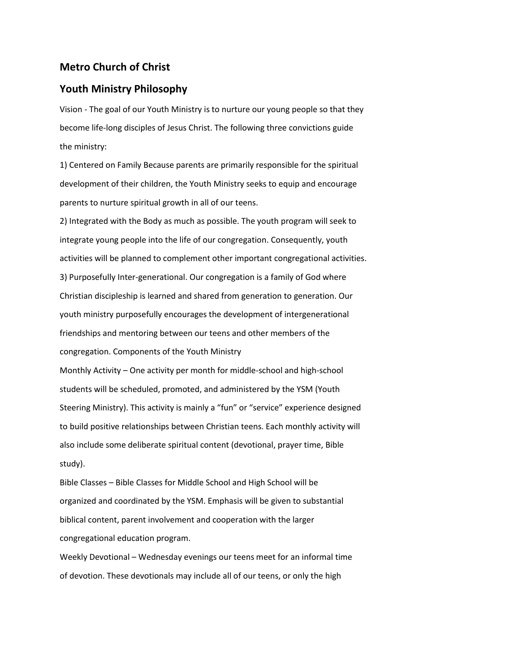## **Metro Church of Christ**

## **Youth Ministry Philosophy**

Vision - The goal of our Youth Ministry is to nurture our young people so that they become life-long disciples of Jesus Christ. The following three convictions guide the ministry:

1) Centered on Family Because parents are primarily responsible for the spiritual development of their children, the Youth Ministry seeks to equip and encourage parents to nurture spiritual growth in all of our teens.

2) Integrated with the Body as much as possible. The youth program will seek to integrate young people into the life of our congregation. Consequently, youth activities will be planned to complement other important congregational activities. 3) Purposefully Inter-generational. Our congregation is a family of God where Christian discipleship is learned and shared from generation to generation. Our youth ministry purposefully encourages the development of intergenerational friendships and mentoring between our teens and other members of the congregation. Components of the Youth Ministry

Monthly Activity – One activity per month for middle-school and high-school students will be scheduled, promoted, and administered by the YSM (Youth Steering Ministry). This activity is mainly a "fun" or "service" experience designed to build positive relationships between Christian teens. Each monthly activity will also include some deliberate spiritual content (devotional, prayer time, Bible study).

Bible Classes – Bible Classes for Middle School and High School will be organized and coordinated by the YSM. Emphasis will be given to substantial biblical content, parent involvement and cooperation with the larger congregational education program.

Weekly Devotional – Wednesday evenings our teens meet for an informal time of devotion. These devotionals may include all of our teens, or only the high